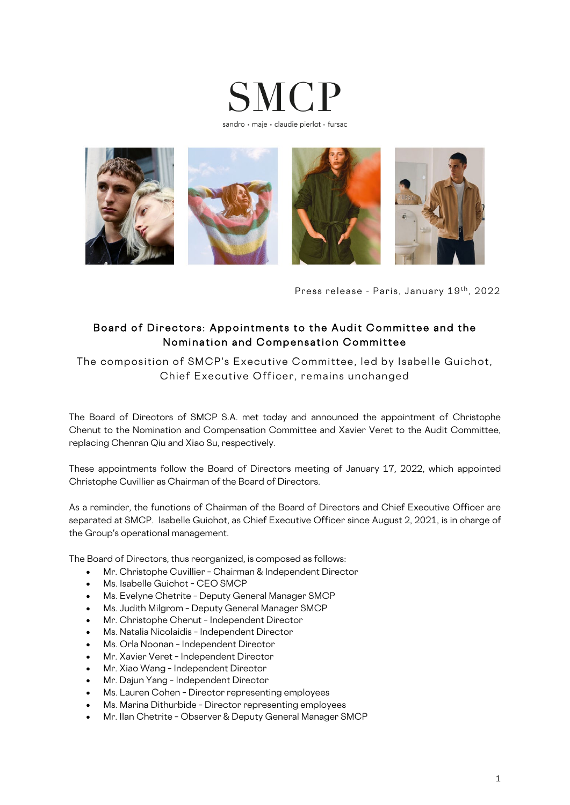



Press release - Paris, January 19th, 2022

## Board of Directors: Appointments to the Audit Committee and the Nomination and Compensation Committee

The composition of SMCP's Executive Committee, led by Isabelle Guichot, Chief Executive Officer, remains unchanged

The Board of Directors of SMCP S.A. met today and announced the appointment of Christophe Chenut to the Nomination and Compensation Committee and Xavier Veret to the Audit Committee, replacing Chenran Qiu and Xiao Su, respectively.

These appointments follow the Board of Directors meeting of January 17, 2022, which appointed Christophe Cuvillier as Chairman of the Board of Directors.

As a reminder, the functions of Chairman of the Board of Directors and Chief Executive Officer are separated at SMCP. Isabelle Guichot, as Chief Executive Officer since August 2, 2021, is in charge of the Group's operational management.

The Board of Directors, thus reorganized, is composed as follows:

- Mr. Christophe Cuvillier Chairman & Independent Director
- Ms. Isabelle Guichot CEO SMCP
- Ms. Evelyne Chetrite Deputy General Manager SMCP
- Ms. Judith Milgrom Deputy General Manager SMCP
- Mr. Christophe Chenut Independent Director
- Ms. Natalia Nicolaidis Independent Director
- Ms. Orla Noonan Independent Director
- Mr. Xavier Veret Independent Director
- Mr. Xiao Wang Independent Director
- Mr. Dajun Yang Independent Director
- Ms. Lauren Cohen Director representing employees
- Ms. Marina Dithurbide Director representing employees
- Mr. Ilan Chetrite Observer & Deputy General Manager SMCP